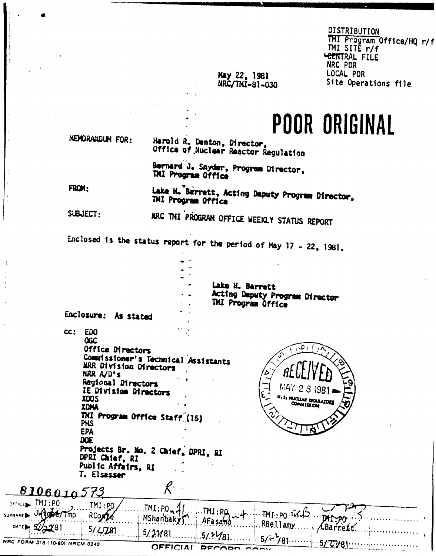#### DISTRIBUTION TMI Program Office/HQ r/f TMI SITË r/f <del>LENT</del>RAL FILE NRC PDR LOCAL PDR Site Operations file

### May 22, 1981 NRC/TMI-81-030

**POOR ORIGINAL** 

MEMORANDUM FOR:

### Harold R. Denton, Director, Office of Nuclear Reactor Regulation

Bernard J. Snyder, Program Director, THI Program Office

FROM:

Lake H. Barrett, Acting Daputy Program Director, THI Program Office

SUBJECT:

# MRC TMI PROGRAM OFFICE WEEKLY STATUS REPORT

Enclosed is the status report for the period of May 17 - 22, 1981.

Lake H. Barrett Acting Deputy Program Director TMI Program Office

Enclosure: As stated

 $cc:$ **EDO OGC** Office Directors Commissioner's Technical Assistants MRR Division Directors NRR A/D's Regional Directors IE Division Directors **ZOOS XOMA** TMI Program Office Staff (15) **PHS EPA DOE** 

Projects Br. No. 2 Chief, DPRI, RI DPRI Chief, RI Public Affairs, RI T. Elsasser



К 8106010  $TM:PO$  $IMI:PO$ TMI:PO. TMI:PQ be/Tmp  $TM1:PO$   $IUV1D$ RCom MShanbaky DATAPO AFa sa<del>ƙ</del>ò RBellamy Barro Y8' 5/ LJ81  $5/2181$ NRC FORM 318 (10-80) NRCM 0240 OFFICIAL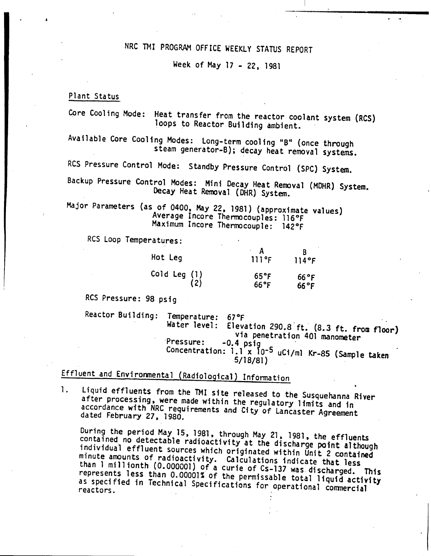# NRC TMI PROGRAM OFFICE WEEKLY STATUS REPORT

Week of May 17 - 22. 1981

Plant Status

...

Core Cooling Mode: Heat transfer from the reactor coolant system (RCS) loops to Reactor Building ambient.

Available Core Cooling Modes: Long-term cooling "B" (once through steam generator-B); decay heat removal systems.

RCS Pressure Control Mode: Standby Pressure Control (SPC) System.

Backup Pressure Control Modes: Mini Decay Heat Removal (MOHR) System. Decay Heat Removal (DHR) System.

Major Parameters (as of 0400, May 22, 1981) (approximate values) Average Incore Thermocouples: 116°F Maximum Incore Thermocouple: 142°F

RCS Loop Temperatures:

| Hot Leg      | 111°F          | 114°F          |
|--------------|----------------|----------------|
| Cold Leg (1) | $65^{\circ}$ F | $66^{\circ}$ F |
| (2)          | $66^{\circ}$ F | $66^{\circ}$ F |

RCS Pressure: 98 psig

Reactor Building: Temperature: 67°F Water level: Elevation 290.8' ft. (8.3 ft. from floor) via penetration 401 manometer<br>-0.4 psig  $P$ ressure:  $-0.4$  psig  $\sim$ Concentration: 1.1 x 10-5 uCi/ml Kr-85 (Sample taken 5/18/81)

Effluent and Environmental (Radiological) Information

1. Liquid effluents from the TMI site released to the Susquehanna River after processing, were made within the regulatory limits and in accordance with NRC requirements and City of Lancaster Agreement dated February 27, 1980.

During the period May 15, 1981, through May 21, 1981, the effluents contained no detectable radioactivity at the discharge point although individual effluent sources which originated within Unit 2 contained minute amounts of radioactivity. Calculations indicate that less than 1 millionth (0.000001) of a curie of Cs-l37 was discharged. This represents less than 0.00001% of the permissable total liquid activity as specified in Technical Specifications for operational commercial reactors.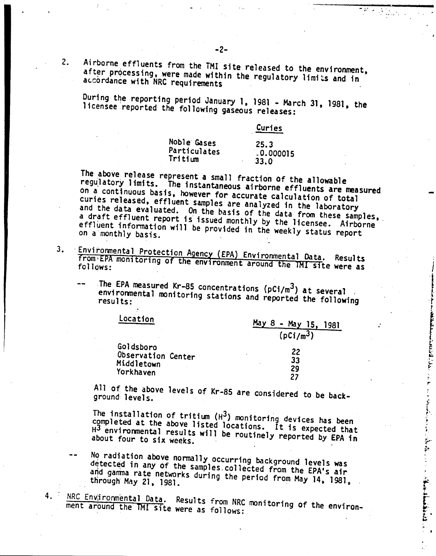2. Airborne effluents from the TMI site released to the environment, after processing, were made within the regulatory limits and in accordance with NRC requirements

During the reporting period January 1, 1981 - March 31, 1981, the licensee reported the following gaseous releases:

|              | Curies    |
|--------------|-----------|
| Noble Gases  | 25.3      |
| Particulates | .0.000015 |
| Tritium      | 33.0      |

The above release represent a small fraction Of the allowable regu,latory limits. The instantaneous airborne effluents are measured on ai continuous basis, however for accurate calculation of total curies released, effluent samples are analyzed in the laboratory and the data evaluated. On the basis of the data from these samples, a draft effluent report is issued monthly by the licensee. Airborne effluent information will be provided in the weekly status report

- Environmental Protection Agency (EPA) Environmental Data. 3. From EPA monitoring of the environment around the TMI site were as<br>follows:
	- The EPA measured Kr-85 concentrations ( $pC1/m<sup>3</sup>$ ) at several environmental monitoring stations and reported the following

| .ocation                                      | May<br>8<br>$-May$ 15.<br>1981 |  |
|-----------------------------------------------|--------------------------------|--|
|                                               | $(pCi/m^3)$                    |  |
| Goldsboro<br>Observation Center<br>Middletown | 22<br>33                       |  |
| Yorkhaven                                     | 29                             |  |
|                                               |                                |  |

All of the above levels of Kr-85 are considered to be back-<br>ground levels.

The installation of tritium  $(H^3)$  monitoring devices has been completed at the above listed locations. It is expected that H3 environmental results will be routinely reported by EPA in about four to six weeks.

- No radiation above normally occurring background levels was detected in any of the samp1es,collected from the EPA's air and gamma rate networks during the period from May 14, 1981,
- 4. NRC ENVITORMENTAL Data. Results from NRC monitoring of the enviroment around the TMI site were as follows:

... .' ..

', ... ,

 $\frac{c}{r}$  $\ddot{\ddot{\ }$ po .*i,*

**Constitution of the Second State** 

**CONTRACTOR**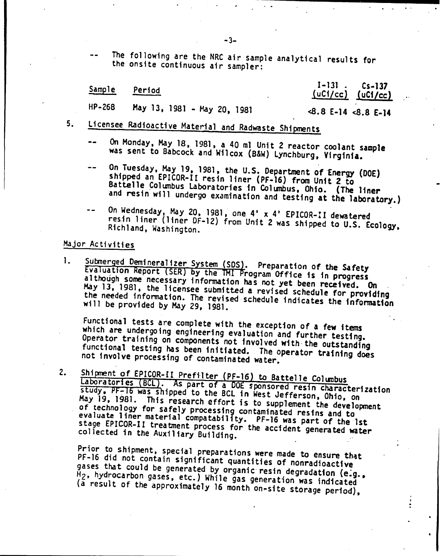The following are the NRC air sample analytical results for the onsite continuous air sampler:

| Sample | Period |  |
|--------|--------|--|
|        |        |  |

 $1-131$ . Cs-137<br>(uCi/cc) (uCi/cc)  $(uC<sub>i</sub>/cc)$ 

HP-268 Hay 13, 1981 - May 20. 1981

### <8.8 E-14 <8.8 E-14

- 5. Licensee Radioactive Material and Radwaste Shipments
	- On Monday, May 18, 1981. a 40 ml Unit 2 reactor coolant sample was sent to 8abcock and Wilcox (B&W) Lynchburg. Virginia.
	- On Tuesday, May 19, 1981, the U.S. Department of Energy (DOE) shipped an EPICOR-II resin liner (PF-16) from Unit 2 to 8attelle Columbus laboratories in Columbus. Ohio. (The liner and resin will undergo examination and testing at the laboratory.)
	- On Wednesday, May 20, 1981, one 4' x 4' EPICOR-U dewatered resin liner (liner OF-1Z) from Unit 2 was shipped to U.S. Ecology, Richland, Washington.

### Major Activities

1. Submerged Demineralizer System (SDS). Preparation of the Safety Evaluation Report (SER) by the TMI Program Office is in progress although some necessary information has not yet been received. On May 13, 1981, the licensee submitted a revised schedule for providing the needed information. The revised schedule indicates the information will be provided by May 29, 1981.

Functional tests are complete with the exception of a few items which are undergoing engineering evaluation and further testing. Operator training on components not involved with the outstanding functional testing has been initiated. The operator training does not involve processing of contaminated water.

Shipment of EPICOR-II Prefilter (PF-16) to Battelle Columbus 2. Laboratories (BCL). As part of a DOE sponsored resin characterization<br>study, PF-16 was shipped to the BCL in West leftesin characterization study, PF-16 was shipped to the BCL in West Jefferson, Ohio, on<br>May 19. 1981. This research offent is the set Jefferson, Ohio, on May 19, 1981. This research effort is to supplement the development<br>of technology for safely processing eachering lement the development of technology for safely processing contaminated resins and to<br>of technology for safely processing contaminated resins and to of technology for safely processing contaminated resins and to<br>evaluate liner material compatability. PF-16 was part of the 1st<br>stage EPICOR-II treatment process for the accident control of the stage EPICOR-II treatment process for the accident generated water<br>collected in the Auxiliary Building collected in the Auxiliary Building.

Prior to shipment, special preparations were made to ensure that PF-16 did not contain significant quantities of nonradioactive gases that could be generated by organic resin degradation (e.g.,  $H_2$ , hydrocarbon gases, etc.) While gas generation was indicated (a result of the approximately 16 month on~site storage period).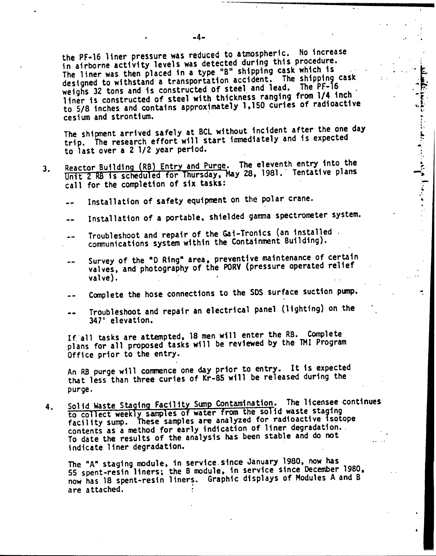the PF-16 liner pressure was reduced to atmospheric. No increase the PF-16 Tiner pressure was reduced to admospherer.<br>in airborne activity levels was detected during this procedure. in airborne activity levels was detected during once process.<br>The liner was then placed in a type "B" shipping cask which is The liner was then placed in a type to shipping cash informed to withstand a transportation accident. The shipping cask designed to withstand a transportation accident. The PF-16<br>weighs 32 tons and is constructed of steel and lead. The PF-16 weighs 32 tons and is constructed of steel and reduced from 1/4 inch.<br>Tiner is constructed of steel with thickness ranging from 1/4 inch. liner is constructed of steel with thickness ranging from the most<br>to 5/8 inches and contains approximately 1,150 curies of radioactive cesium and strontium.

.  $\cdot$   $\cdot$   $\cdot$   $\cdot$ 

 $\cdot$  .

 $\sum_{i=1}^{n}$ 

 $\ddot{\tilde{r}}$ 

-, "

The shipment arrived safely at BCL without incident after the one day The shipment arrived sarely at but without including and is expected<br>trip. The research effort will start immediately and is expected to last over a 2 1/2 year period.

- Reactor Building (RB) Entry and Purge. The eleventh entry into the  $3.$ Reactor Building (RB) Entry and Purge. The eleventh entry theo one<br>Unit 2 RB is scheduled for Thursday, May 28, 1981. Tentative plans call for the completion of six tasks:
	- Installation of safety equipment on the polar crane.
	- Installation of a portable, shielded gamma spectrometer system.
	- Troubleshoot and repair of the Gai-Tronics (an installed ' communications system within the Containment Building).
	- Survey of the "0 Ring" area, preventive maintenance of certain valves, and photography of the PORV (pressure operated relief  $valve$ ).
	- Complete the hose connections to the SOS surface suction pump.
	- Troubleshoot and repair an electrical panel (lighting) on the  $-1$ 347' elevation.

Ifall tasks are attempted, 18 men will enter the RB. Complete plans for all proposed tasks will be reviewed by the 1MI Program Office prior to the entry.

An RB purge will commence one day prior to entry. It is expected that less than three curies of Kr-85 will be released during the purge.

4. Solid Waste Staging Facility Sump Contamination. The licensee continues to collect weekly samples of water from the solid waste staging facility sump. These samples are analyzed for radioactive isotope contents as a method for early indication of liner degradation. To date the results of the analysis has been stable and do not indicate liner degradation.

The "A" staging module, in service since January 1980, now has Si spent-resin liners; the B module, in service since December 1980, now has 18 spent-resin liners. Graphic displays of Modules A and B are attached.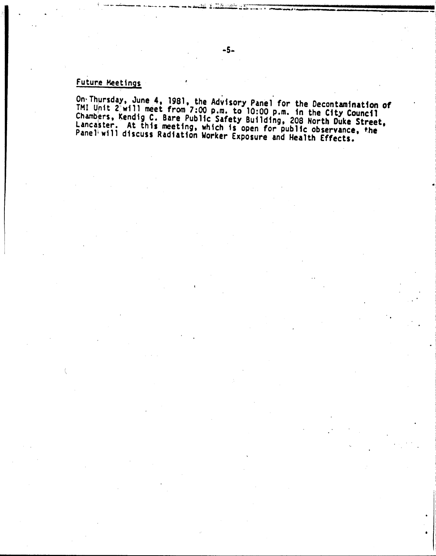## Future Meetings

On Thursday, June 4, 1981, the Advisory Panel for the Decontamination of<br>TMI Unit 2 will meet from 7:00 p.m. to 10:00 p.m. in the City Council<br>Chambers, Kendig C. Bare Public Safety Building, 208 North Duke Street,<br>Lancast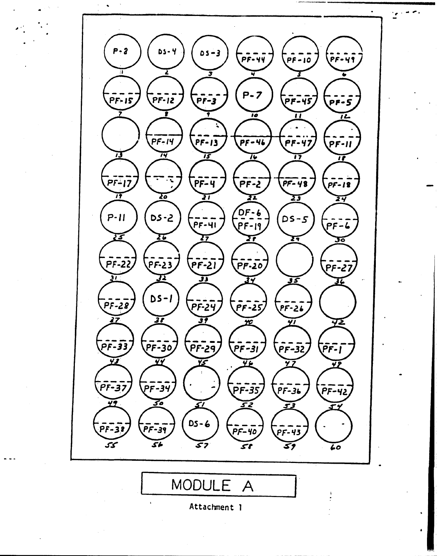$P - 2$ Ds - Y  $05 - 3$ . 49  $P - 7$  $PF-12$ PF-15  $PF-3$ PF-45 p**r-5**  $\overline{10}$  $PF-14$  $PF-47$  $PF-46$  $PF-13$ pf-ii 73 76 73 T6 77 n רו-<br>דו .<br>PF-4  $PF-48$  $PF-2$ P**F-18** 77 Σō žΤ TI 23 34 DF-6<br>PF-19  $5 - 2$  $P-11$  $DS-S$  $P$  $F$  $G$  $PF-41$ ग्ड 26 77  $\overline{27}$ 77 36  $\bar{P}$ F-22  $PF-23$ <u>| 15-57</u> **PF-20**  $PF-27$  $\overline{v}$ 72 JJ 35  $DS-I$  $PF-28$  $PF-25$ PF-24  $\tilde{P}$ F-26 27 <u> 37</u> 31 72  $\overline{p}$ F-33 PF-30  $\overline{P}$ רַב-ק  $PF-32$ :FF-1 PF-31 ΥJ Ÿ, Υć  $P$ F-37 -----<br>PF-34  $\overline{PF-35}$  $\overline{PF-36}$  $PF-42$ 30 49 52 L I  $DS - 6$ -31 -39 **PF-40**  $\overline{PF-43}$ ممح  $\overline{\mathcal{S}}$ b  $\overline{\mathcal{S}}$ 7 st 39 60 MODULE  $\overline{A}$ 

Attachment 1